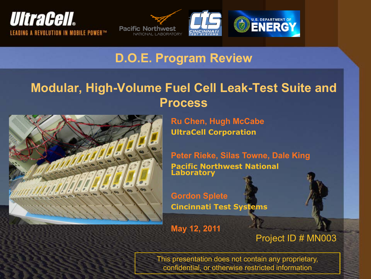

### **D.O.E. Program Review**

### **Modular, High-Volume Fuel Cell Leak-Test Suite and Process**



**Ru Chen, Hugh McCabe UltraCell Corporation**

**Peter Rieke, Silas Towne, Dale King Pacific Northwest National Laboratory**

**Gordon Splete Cincinnati Test Systems**

**May 12, 2011**

#### Project ID # MN003

This presentation does not contain any proprietary, confidential, or otherwise restricted information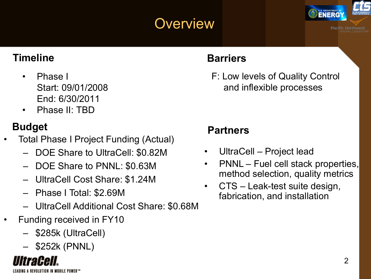## **Overview**



#### **Timeline**

- Phase I Start: 09/01/2008 End: 6/30/2011
- Phase II: TBD

### **Budget**

- Total Phase I Project Funding (Actual)
	- DOE Share to UltraCell: \$0.82M
	- DOE Share to PNNL: \$0.63M
	- UltraCell Cost Share: \$1.24M
	- Phase I Total: \$2.69M
	- UltraCell Additional Cost Share: \$0.68M
- Funding received in FY10
	- \$285k (UltraCell)
	- \$252k (PNNL)

UltraCell.

EADING A REVOLUTION IN MOBILE POWER™

#### **Barriers**

F: Low levels of Quality Control and inflexible processes

### **Partners**

- UltraCell Project lead
- PNNL Fuel cell stack properties, method selection, quality metrics
- CTS Leak-test suite design, fabrication, and installation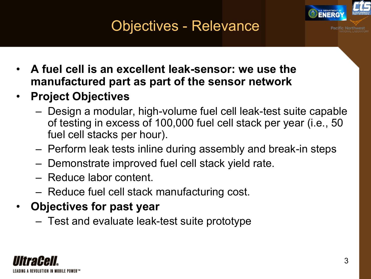

- **A fuel cell is an excellent leak-sensor: we use the manufactured part as part of the sensor network**
- **Project Objectives**
	- Design a modular, high-volume fuel cell leak-test suite capable of testing in excess of 100,000 fuel cell stack per year (i.e., 50 fuel cell stacks per hour).
	- Perform leak tests inline during assembly and break-in steps
	- Demonstrate improved fuel cell stack yield rate.
	- Reduce labor content.
	- Reduce fuel cell stack manufacturing cost.
- **Objectives for past year**
	- Test and evaluate leak-test suite prototype

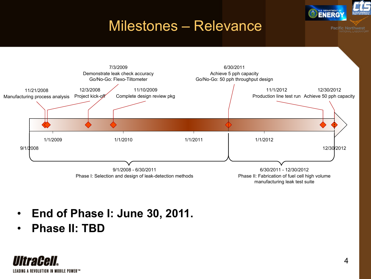### Milestones – Relevance



- **End of Phase I: June 30, 2011.**
- **Phase II: TBD**



<u>U.S. DEPARTMENT (</u> **ENERG**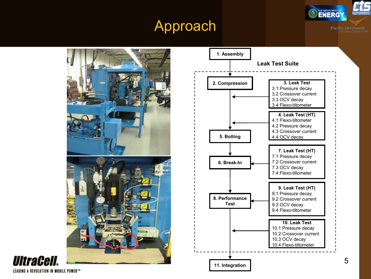





LEADING A REVOLUTION IN MOBILE POWER™

**UltraCell.**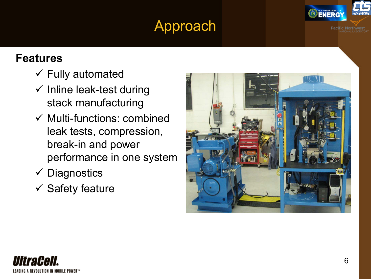

### **Features**

- $\checkmark$  Fully automated
- $\checkmark$  Inline leak-test during stack manufacturing
- $\checkmark$  Multi-functions: combined leak tests, compression, break-in and power performance in one system
- $\checkmark$  Diagnostics
- $\checkmark$  Safety feature



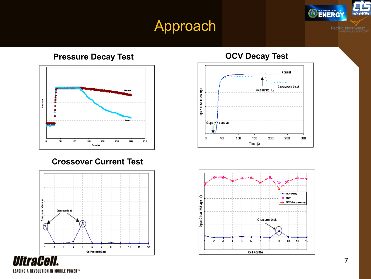#### **Pressure Decay Test COV Decay Test**



#### **Crossover Current Test**



LEADING A REVOLUTION IN MOBILE POWER™





 $\overline{\phantom{0}}$ 

U.S. DEPARTMENT OF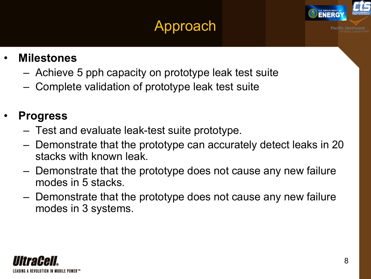

- Achieve 5 pph capacity on prototype leak test suite
- Complete validation of prototype leak test suite

#### • **Progress**

- Test and evaluate leak-test suite prototype.
- Demonstrate that the prototype can accurately detect leaks in 20 stacks with known leak.
- Demonstrate that the prototype does not cause any new failure modes in 5 stacks.
- Demonstrate that the prototype does not cause any new failure modes in 3 systems.

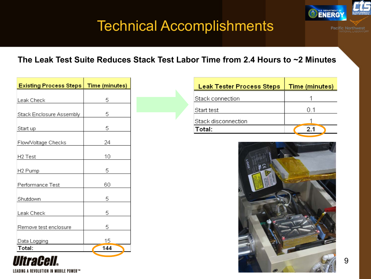#### **The Leak Test Suite Reduces Stack Test Labor Time from 2.4 Hours to ~2 Minutes**

| 5<br>Leak Check<br>5<br>Stack Enclosure Assembly<br>5<br>Start up<br>24<br>Flow/Voltage Checks<br>10<br>H2 Test<br>5<br>H <sub>2</sub> Pump<br>Performance Test<br>60<br>5<br>Shutdown<br>5<br>Leak Check<br>5<br>Remove test enclosure<br>15<br>Data Logging | <b>Existing Process Steps</b> | Time (minutes) |  |  |
|---------------------------------------------------------------------------------------------------------------------------------------------------------------------------------------------------------------------------------------------------------------|-------------------------------|----------------|--|--|
|                                                                                                                                                                                                                                                               |                               |                |  |  |
|                                                                                                                                                                                                                                                               |                               |                |  |  |
|                                                                                                                                                                                                                                                               |                               |                |  |  |
|                                                                                                                                                                                                                                                               |                               |                |  |  |
|                                                                                                                                                                                                                                                               |                               |                |  |  |
|                                                                                                                                                                                                                                                               |                               |                |  |  |
|                                                                                                                                                                                                                                                               |                               |                |  |  |
|                                                                                                                                                                                                                                                               |                               |                |  |  |
|                                                                                                                                                                                                                                                               |                               |                |  |  |
|                                                                                                                                                                                                                                                               |                               |                |  |  |
|                                                                                                                                                                                                                                                               |                               |                |  |  |
|                                                                                                                                                                                                                                                               |                               |                |  |  |
|                                                                                                                                                                                                                                                               | Total:                        | 144            |  |  |

| <i>VitraCell</i> .                   |  |
|--------------------------------------|--|
| EADING A REVOLUTION IN MOBILE POWER™ |  |

| <b>Leak Tester Process Steps</b> | Time (minutes) |  |
|----------------------------------|----------------|--|
| Stack connection                 |                |  |
| Start test                       | 0.1            |  |
| Stack disconnection              |                |  |
| Total:                           | 21             |  |



U.S. DEPARTMENT OF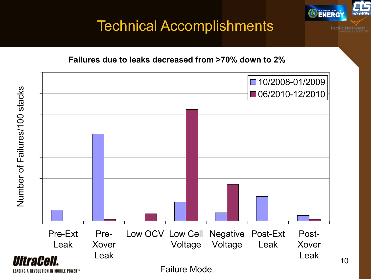**Failures due to leaks decreased from >70% down to 2%**



<u>U.S. DEPARTMENT</u> **ENERG**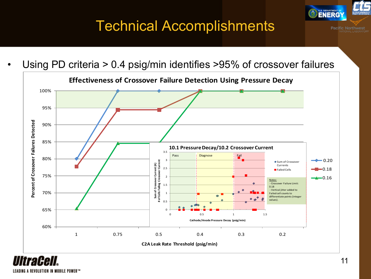• Using PD criteria > 0.4 psig/min identifies >95% of crossover failures



**LEADING A REVOLUTION IN MOBILE POWER™** 

U.S. DEPARTMENT O **ENERG**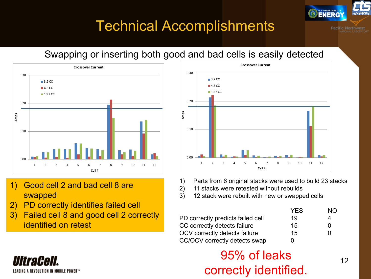Swapping or inserting both good and bad cells is easily detected



- 1) Good cell 2 and bad cell 8 are swapped
- 2) PD correctly identifies failed cell

*UltraCell.* 

LEADING A REVOLUTION IN MOBILE POWER™

3) Failed cell 8 and good cell 2 correctly identified on retest



- 1) Parts from 6 original stacks were used to build 23 stacks
- 2) 11 stacks were retested without rebuilds
- 3) 12 stack were rebuilt with new or swapped cells

|                                   | <b>YES</b> | NO         |
|-----------------------------------|------------|------------|
| PD correctly predicts failed cell | 19         | 4          |
| CC correctly detects failure      | 15         | $^{\circ}$ |
| OCV correctly detects failure     | 15         |            |
| CC/OCV correctly detects swap     | 0          |            |

### 95% of leaks correctly identified.

U.S. DEPARTMENT **ENERG**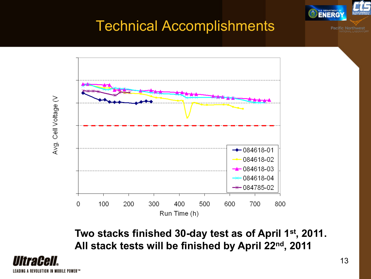



**Two stacks finished 30-day test as of April 1st, 2011. All stack tests will be finished by April 22nd, 2011**

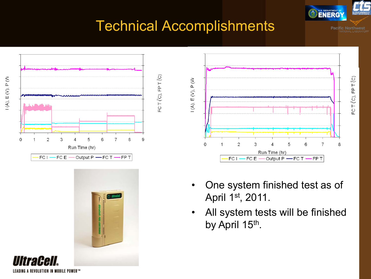



- One system finished test as of April 1st, 2011.
- All system tests will be finished by April 15th.



LEADING A REVOLUTION IN MOBILE POWER™

UltraCell.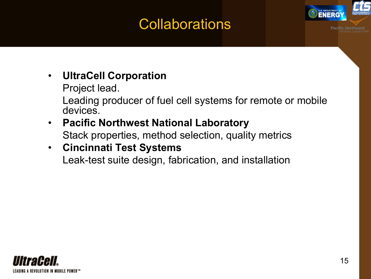## **Collaborations**



Project lead.

Leading producer of fuel cell systems for remote or mobile devices.

#### • **Pacific Northwest National Laboratory** Stack properties, method selection, quality metrics

#### • **Cincinnati Test Systems** Leak-test suite design, fabrication, and installation



U.S. DEPARTMENT **ENERG**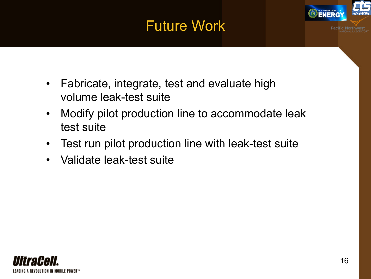### Future Work

- Fabricate, integrate, test and evaluate high volume leak-test suite
- Modify pilot production line to accommodate leak test suite
- Test run pilot production line with leak-test suite
- Validate leak-test suite



**U.S. DEPARTMENT ENERG**